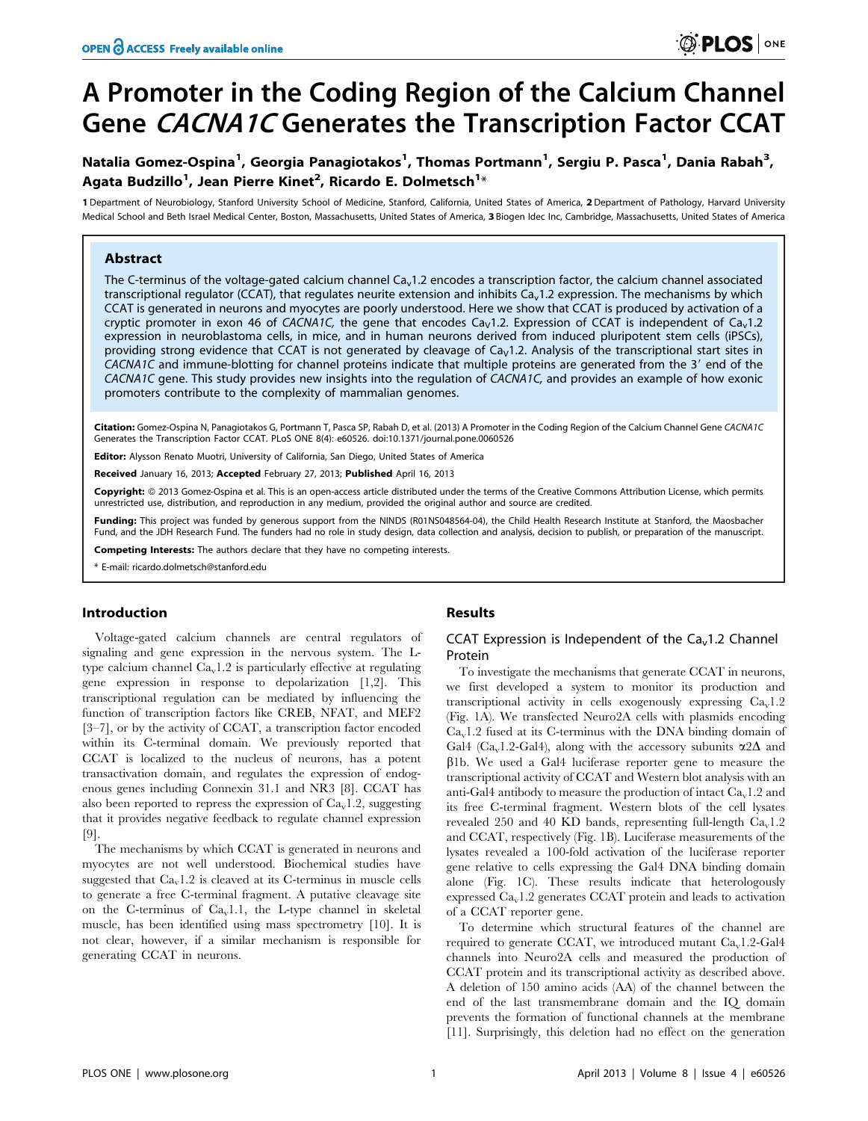# A Promoter in the Coding Region of the Calcium Channel Gene CACNA1C Generates the Transcription Factor CCAT

## Natalia Gomez-Ospina<sup>1</sup>, Georgia Panagiotakos<sup>1</sup>, Thomas Portmann<sup>1</sup>, Sergiu P. Pasca<sup>1</sup>, Dania Rabah<sup>3</sup>, Agata Budzillo<sup>1</sup>, Jean Pierre Kinet<sup>2</sup>, Ricardo E. Dolmetsch<sup>1</sup>\*

1 Department of Neurobiology, Stanford University School of Medicine, Stanford, California, United States of America, 2 Department of Pathology, Harvard University Medical School and Beth Israel Medical Center, Boston, Massachusetts, United States of America, 3 Biogen Idec Inc, Cambridge, Massachusetts, United States of America

## Abstract

The C-terminus of the voltage-gated calcium channel  $Ca<sub>v</sub>1.2$  encodes a transcription factor, the calcium channel associated transcriptional regulator (CCAT), that regulates neurite extension and inhibits  $Ca<sub>v</sub>1.2$  expression. The mechanisms by which CCAT is generated in neurons and myocytes are poorly understood. Here we show that CCAT is produced by activation of a cryptic promoter in exon 46 of CACNA1C, the gene that encodes Ca<sub>V</sub>1.2. Expression of CCAT is independent of Ca<sub>v</sub>1.2 expression in neuroblastoma cells, in mice, and in human neurons derived from induced pluripotent stem cells (iPSCs), providing strong evidence that CCAT is not generated by cleavage of  $Ca<sub>v</sub>1.2$ . Analysis of the transcriptional start sites in CACNA1C and immune-blotting for channel proteins indicate that multiple proteins are generated from the 3' end of the CACNA1C gene. This study provides new insights into the regulation of CACNA1C, and provides an example of how exonic promoters contribute to the complexity of mammalian genomes.

Citation: Gomez-Ospina N, Panagiotakos G, Portmann T, Pasca SP, Rabah D, et al. (2013) A Promoter in the Coding Region of the Calcium Channel Gene CACNA1C Generates the Transcription Factor CCAT. PLoS ONE 8(4): e60526. doi:10.1371/journal.pone.0060526

Editor: Alysson Renato Muotri, University of California, San Diego, United States of America

Received January 16, 2013; Accepted February 27, 2013; Published April 16, 2013

Copyright: © 2013 Gomez-Ospina et al. This is an open-access article distributed under the terms of the Creative Commons Attribution License, which permits unrestricted use, distribution, and reproduction in any medium, provided the original author and source are credited.

Funding: This project was funded by generous support from the NINDS (R01NS048564-04), the Child Health Research Institute at Stanford, the Maosbacher Fund, and the JDH Research Fund. The funders had no role in study design, data collection and analysis, decision to publish, or preparation of the manuscript.

Competing Interests: The authors declare that they have no competing interests.

\* E-mail: ricardo.dolmetsch@stanford.edu

## Introduction

Voltage-gated calcium channels are central regulators of signaling and gene expression in the nervous system. The Ltype calcium channel  $Ca<sub>v</sub>1.2$  is particularly effective at regulating gene expression in response to depolarization [1,2]. This transcriptional regulation can be mediated by influencing the function of transcription factors like CREB, NFAT, and MEF2 [3–7], or by the activity of CCAT, a transcription factor encoded within its C-terminal domain. We previously reported that CCAT is localized to the nucleus of neurons, has a potent transactivation domain, and regulates the expression of endogenous genes including Connexin 31.1 and NR3 [8]. CCAT has also been reported to repress the expression of  $Ca<sub>v</sub>1.2$ , suggesting that it provides negative feedback to regulate channel expression [9].

The mechanisms by which CCAT is generated in neurons and myocytes are not well understood. Biochemical studies have suggested that  $Ca<sub>v</sub>1.2$  is cleaved at its C-terminus in muscle cells to generate a free C-terminal fragment. A putative cleavage site on the C-terminus of  $Ca<sub>v</sub>1.1$ , the L-type channel in skeletal muscle, has been identified using mass spectrometry [10]. It is not clear, however, if a similar mechanism is responsible for generating CCAT in neurons.

## Results

## CCAT Expression is Independent of the  $Ca<sub>v</sub>1.2$  Channel Protein

To investigate the mechanisms that generate CCAT in neurons, we first developed a system to monitor its production and transcriptional activity in cells exogenously expressing  $Ca<sub>v</sub>1.2$ (Fig. 1A). We transfected Neuro2A cells with plasmids encoding  $Ca<sub>v</sub>1.2$  fused at its C-terminus with the DNA binding domain of Gal4 (Ca<sub>v</sub>1.2-Gal4), along with the accessory subunits  $\alpha$ 2 $\Delta$  and  $\beta$ 1b. We used a Gal4 luciferase reporter gene to measure the transcriptional activity of CCAT and Western blot analysis with an anti-Gal4 antibody to measure the production of intact  $Ca<sub>v</sub>1.2$  and its free C-terminal fragment. Western blots of the cell lysates revealed 250 and 40 KD bands, representing full-length  $Ca<sub>v</sub>1.2$ and CCAT, respectively (Fig. 1B). Luciferase measurements of the lysates revealed a 100-fold activation of the luciferase reporter gene relative to cells expressing the Gal4 DNA binding domain alone (Fig. 1C). These results indicate that heterologously expressed  $Ca<sub>v</sub>1.2$  generates CCAT protein and leads to activation of a CCAT reporter gene.

To determine which structural features of the channel are required to generate CCAT, we introduced mutant  $Ca<sub>v</sub>1.2-Gal4$ channels into Neuro2A cells and measured the production of CCAT protein and its transcriptional activity as described above. A deletion of 150 amino acids (AA) of the channel between the end of the last transmembrane domain and the IQ domain prevents the formation of functional channels at the membrane [11]. Surprisingly, this deletion had no effect on the generation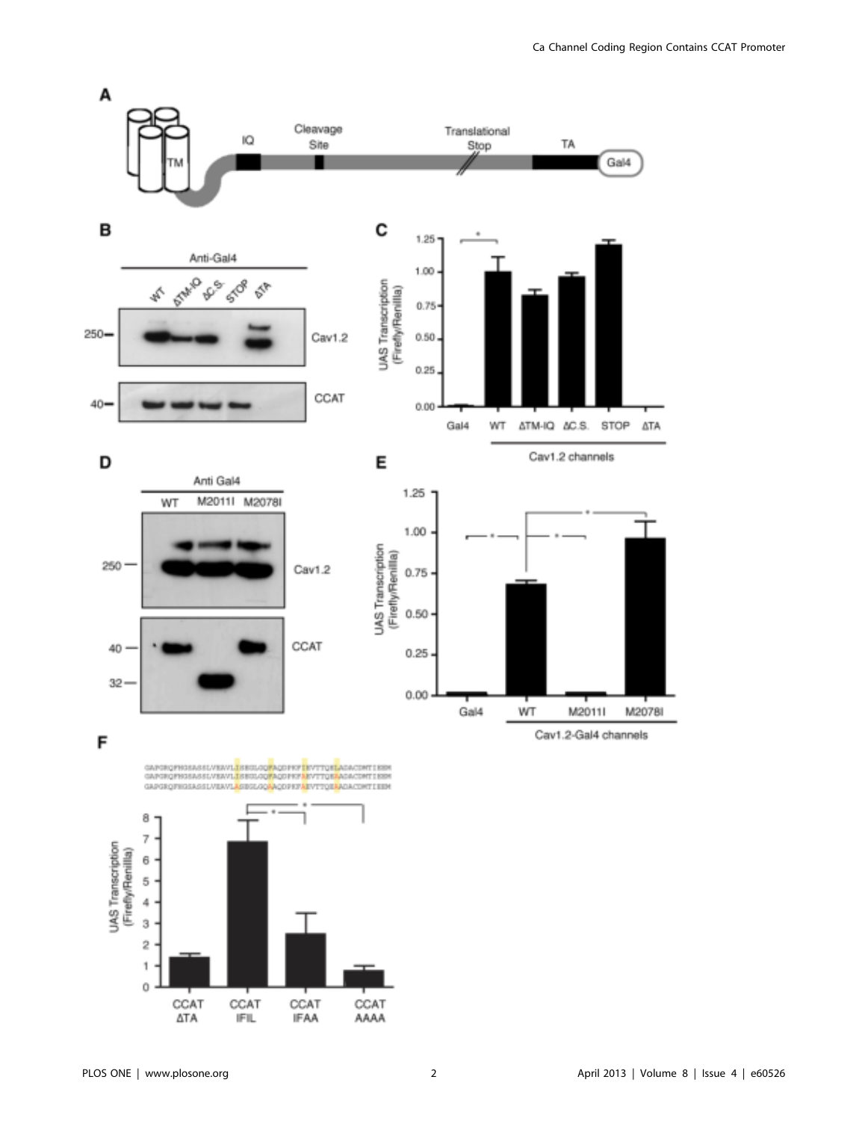

GAPGRQPHGSSASSLVEAVL<mark>T</mark>REGLOO<mark>V</mark>ACOPKP<mark>T</mark>EVTTQELAGACIMTIESSE<br>GAPGRQPHGSSASSLVEAVLTREGLOOPACOPKPAEVTTQEAAGACIMTIESSE<br>GAPGRQPHGSASSLVEAVL<mark>A</mark>GGSLOO<mark>AA</mark>QDPKPAEVTTQEAAGACIMTIEEN

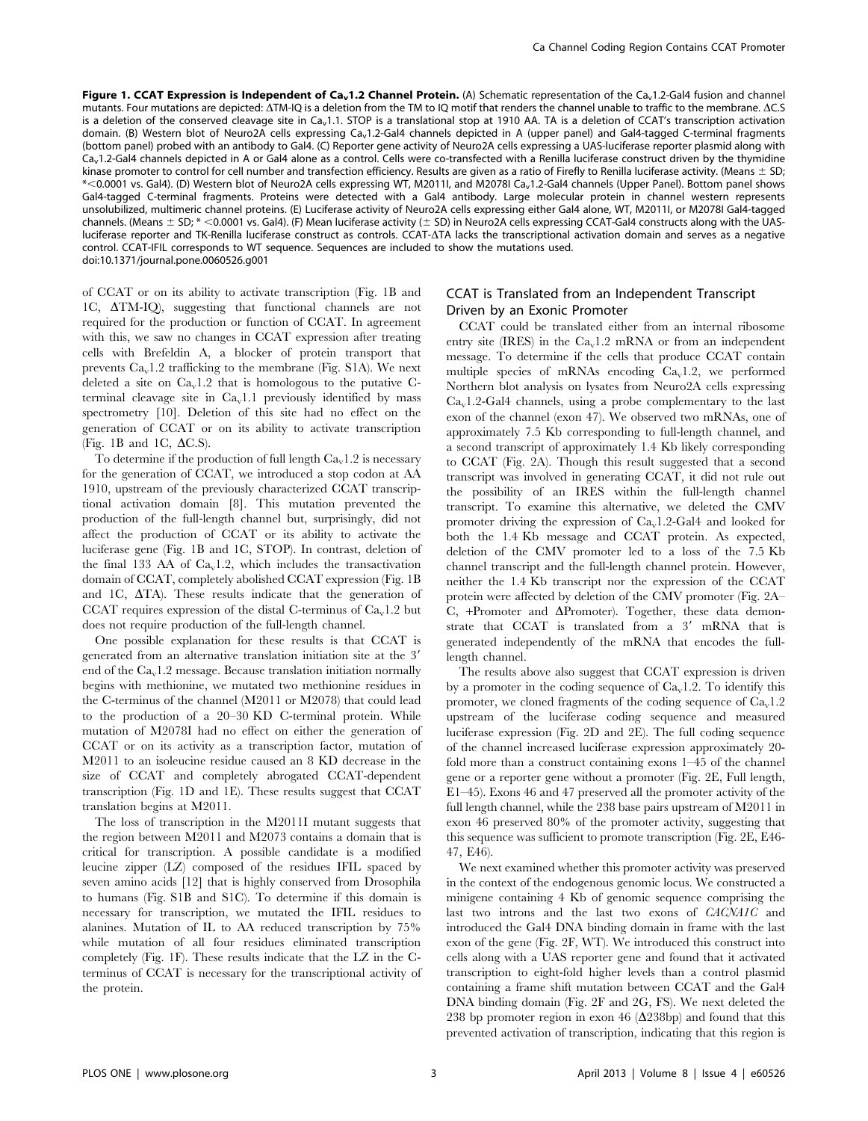Figure 1. CCAT Expression is Independent of Ca<sub>v</sub>1.2 Channel Protein. (A) Schematic representation of the Ca<sub>v</sub>1.2-Gal4 fusion and channel mutants. Four mutations are depicted:  $\Delta TM$ -IQ is a deletion from the TM to IQ motif that renders the channel unable to traffic to the membrane.  $\Delta C$ .S is a deletion of the conserved cleavage site in Cav1.1. STOP is a translational stop at 1910 AA. TA is a deletion of CCAT's transcription activation domain. (B) Western blot of Neuro2A cells expressing Ca<sub>v</sub>1.2-Gal4 channels depicted in A (upper panel) and Gal4-tagged C-terminal fragments (bottom panel) probed with an antibody to Gal4. (C) Reporter gene activity of Neuro2A cells expressing a UAS-luciferase reporter plasmid along with Cav1.2-Gal4 channels depicted in A or Gal4 alone as a control. Cells were co-transfected with a Renilla luciferase construct driven by the thymidine kinase promoter to control for cell number and transfection efficiency. Results are given as a ratio of Firefly to Renilla luciferase activity. (Means  $\pm$  SD; \*,0.0001 vs. Gal4). (D) Western blot of Neuro2A cells expressing WT, M2011I, and M2078I Cav1.2-Gal4 channels (Upper Panel). Bottom panel shows Gal4-tagged C-terminal fragments. Proteins were detected with a Gal4 antibody. Large molecular protein in channel western represents unsolubilized, multimeric channel proteins. (E) Luciferase activity of Neuro2A cells expressing either Gal4 alone, WT, M2011I, or M2078I Gal4-tagged channels. (Means  $\pm$  SD;  $*$  <0.0001 vs. Gal4). (F) Mean luciferase activity ( $\pm$  SD) in Neuro2A cells expressing CCAT-Gal4 constructs along with the UASluciferase reporter and TK-Renilla luciferase construct as controls. CCAT- $\Delta$ TA lacks the transcriptional activation domain and serves as a negative control. CCAT-IFIL corresponds to WT sequence. Sequences are included to show the mutations used. doi:10.1371/journal.pone.0060526.g001

of CCAT or on its ability to activate transcription (Fig. 1B and 1C,  $\triangle T M$ -IQ), suggesting that functional channels are not required for the production or function of CCAT. In agreement with this, we saw no changes in CCAT expression after treating cells with Brefeldin A, a blocker of protein transport that prevents  $Ca<sub>v</sub>1.2$  trafficking to the membrane (Fig. S1A). We next deleted a site on  $Ca<sub>v</sub>1.2$  that is homologous to the putative Cterminal cleavage site in  $Ca<sub>v</sub>1.1$  previously identified by mass spectrometry [10]. Deletion of this site had no effect on the generation of CCAT or on its ability to activate transcription (Fig. 1B and 1C,  $\Delta$ C.S).

To determine if the production of full length  $Ca<sub>v</sub>1.2$  is necessary for the generation of CCAT, we introduced a stop codon at AA 1910, upstream of the previously characterized CCAT transcriptional activation domain [8]. This mutation prevented the production of the full-length channel but, surprisingly, did not affect the production of CCAT or its ability to activate the luciferase gene (Fig. 1B and 1C, STOP). In contrast, deletion of the final 133 AA of  $Ca<sub>v</sub>1.2$ , which includes the transactivation domain of CCAT, completely abolished CCAT expression (Fig. 1B and 1C,  $\Delta$ TA). These results indicate that the generation of CCAT requires expression of the distal C-terminus of  $Ca<sub>v</sub>1.2$  but does not require production of the full-length channel.

One possible explanation for these results is that CCAT is generated from an alternative translation initiation site at the 3' end of the  $Ca<sub>v</sub>1.2$  message. Because translation initiation normally begins with methionine, we mutated two methionine residues in the C-terminus of the channel (M2011 or M2078) that could lead to the production of a 20–30 KD C-terminal protein. While mutation of M2078I had no effect on either the generation of CCAT or on its activity as a transcription factor, mutation of M2011 to an isoleucine residue caused an 8 KD decrease in the size of CCAT and completely abrogated CCAT-dependent transcription (Fig. 1D and 1E). These results suggest that CCAT translation begins at M2011.

The loss of transcription in the M2011I mutant suggests that the region between M2011 and M2073 contains a domain that is critical for transcription. A possible candidate is a modified leucine zipper (LZ) composed of the residues IFIL spaced by seven amino acids [12] that is highly conserved from Drosophila to humans (Fig. S1B and S1C). To determine if this domain is necessary for transcription, we mutated the IFIL residues to alanines. Mutation of IL to AA reduced transcription by 75% while mutation of all four residues eliminated transcription completely (Fig. 1F). These results indicate that the LZ in the Cterminus of CCAT is necessary for the transcriptional activity of the protein.

## CCAT is Translated from an Independent Transcript Driven by an Exonic Promoter

CCAT could be translated either from an internal ribosome entry site (IRES) in the  $Ca<sub>v</sub>1.2$  mRNA or from an independent message. To determine if the cells that produce CCAT contain multiple species of mRNAs encoding  $Ca<sub>v</sub>1.2$ , we performed Northern blot analysis on lysates from Neuro2A cells expressing  $Ca<sub>v</sub>1.2-Gal4$  channels, using a probe complementary to the last exon of the channel (exon 47). We observed two mRNAs, one of approximately 7.5 Kb corresponding to full-length channel, and a second transcript of approximately 1.4 Kb likely corresponding to CCAT (Fig. 2A). Though this result suggested that a second transcript was involved in generating CCAT, it did not rule out the possibility of an IRES within the full-length channel transcript. To examine this alternative, we deleted the CMV promoter driving the expression of  $Ca<sub>v</sub>1.2-Gal4$  and looked for both the 1.4 Kb message and CCAT protein. As expected, deletion of the CMV promoter led to a loss of the 7.5 Kb channel transcript and the full-length channel protein. However, neither the 1.4 Kb transcript nor the expression of the CCAT protein were affected by deletion of the CMV promoter (Fig. 2A– C, +Promoter and  $\Delta$ Promoter). Together, these data demonstrate that CCAT is translated from a  $3'$  mRNA that is generated independently of the mRNA that encodes the fulllength channel.

The results above also suggest that CCAT expression is driven by a promoter in the coding sequence of  $Ca<sub>v</sub>1.2$ . To identify this promoter, we cloned fragments of the coding sequence of  $Ca<sub>v</sub>1.2$ upstream of the luciferase coding sequence and measured luciferase expression (Fig. 2D and 2E). The full coding sequence of the channel increased luciferase expression approximately 20 fold more than a construct containing exons 1–45 of the channel gene or a reporter gene without a promoter (Fig. 2E, Full length, E1–45). Exons 46 and 47 preserved all the promoter activity of the full length channel, while the 238 base pairs upstream of M2011 in exon 46 preserved 80% of the promoter activity, suggesting that this sequence was sufficient to promote transcription (Fig. 2E, E46- 47, E46).

We next examined whether this promoter activity was preserved in the context of the endogenous genomic locus. We constructed a minigene containing 4 Kb of genomic sequence comprising the last two introns and the last two exons of CACNA1C and introduced the Gal4 DNA binding domain in frame with the last exon of the gene (Fig. 2F, WT). We introduced this construct into cells along with a UAS reporter gene and found that it activated transcription to eight-fold higher levels than a control plasmid containing a frame shift mutation between CCAT and the Gal4 DNA binding domain (Fig. 2F and 2G, FS). We next deleted the 238 bp promoter region in exon 46 ( $\Delta$ 238bp) and found that this prevented activation of transcription, indicating that this region is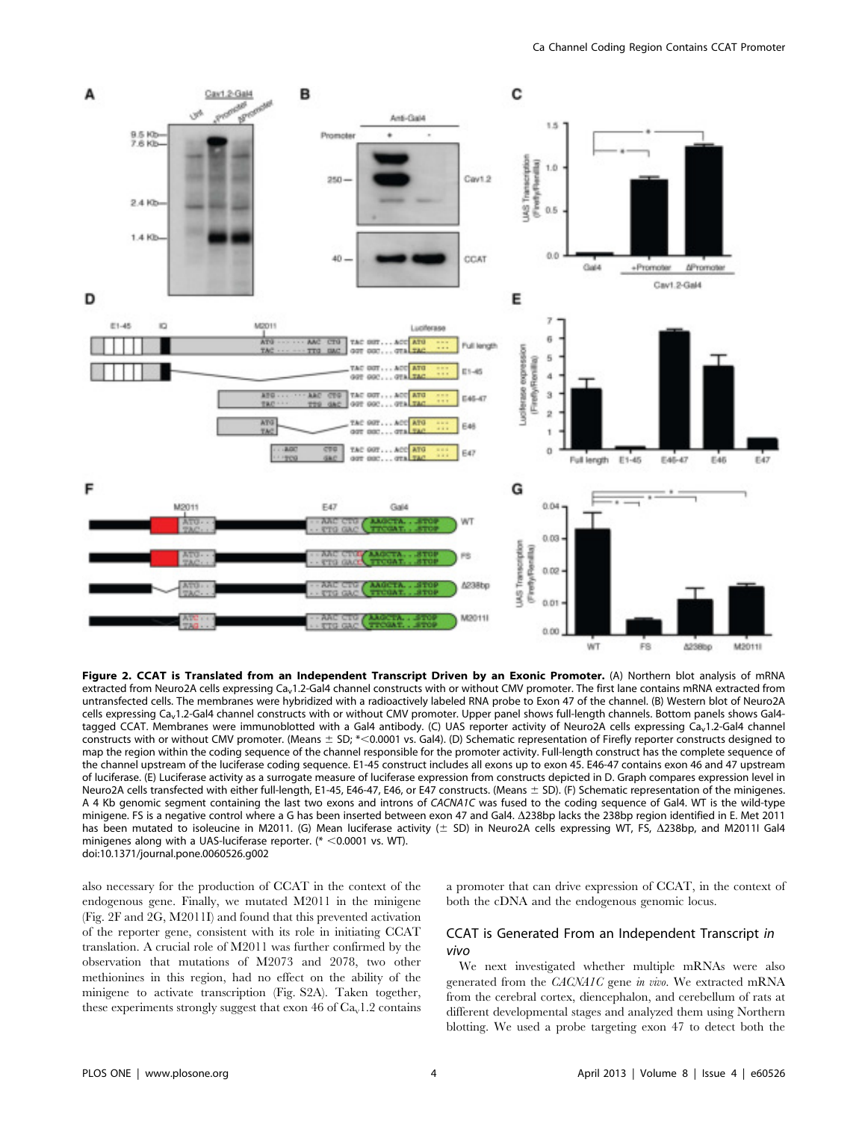

Figure 2. CCAT is Translated from an Independent Transcript Driven by an Exonic Promoter. (A) Northern blot analysis of mRNA extracted from Neuro2A cells expressing Ca<sub>v</sub>1.2-Gal4 channel constructs with or without CMV promoter. The first lane contains mRNA extracted from untransfected cells. The membranes were hybridized with a radioactively labeled RNA probe to Exon 47 of the channel. (B) Western blot of Neuro2A cells expressing Ca<sub>v</sub>1.2-Gal4 channel constructs with or without CMV promoter. Upper panel shows full-length channels. Bottom panels shows Gal4tagged CCAT. Membranes were immunoblotted with a Gal4 antibody. (C) UAS reporter activity of Neuro2A cells expressing Ca<sub>v</sub>1.2-Gal4 channel constructs with or without CMV promoter. (Means  $\pm$  SD;  $*$ <0.0001 vs. Gal4). (D) Schematic representation of Firefly reporter constructs designed to map the region within the coding sequence of the channel responsible for the promoter activity. Full-length construct has the complete sequence of the channel upstream of the luciferase coding sequence. E1-45 construct includes all exons up to exon 45. E46-47 contains exon 46 and 47 upstream of luciferase. (E) Luciferase activity as a surrogate measure of luciferase expression from constructs depicted in D. Graph compares expression level in Neuro2A cells transfected with either full-length, E1-45, E46-47, E46, or E47 constructs. (Means ± SD). (F) Schematic representation of the minigenes. A 4 Kb genomic segment containing the last two exons and introns of CACNA1C was fused to the coding sequence of Gal4. WT is the wild-type minigene. FS is a negative control where a G has been inserted between exon 47 and Gal4. Δ238bp lacks the 238bp region identified in E. Met 2011 has been mutated to isoleucine in M2011. (G) Mean luciferase activity (± SD) in Neuro2A cells expressing WT, FS, Δ238bp, and M2011I Gal4 minigenes along with a UAS-luciferase reporter. ( $* < 0.0001$  vs. WT). doi:10.1371/journal.pone.0060526.g002

also necessary for the production of CCAT in the context of the endogenous gene. Finally, we mutated M2011 in the minigene (Fig. 2F and 2G, M2011I) and found that this prevented activation of the reporter gene, consistent with its role in initiating CCAT translation. A crucial role of M2011 was further confirmed by the observation that mutations of M2073 and 2078, two other methionines in this region, had no effect on the ability of the minigene to activate transcription (Fig. S2A). Taken together, these experiments strongly suggest that exon 46 of  $Ca<sub>v</sub>1.2$  contains

a promoter that can drive expression of CCAT, in the context of both the cDNA and the endogenous genomic locus.

## CCAT is Generated From an Independent Transcript in vivo

We next investigated whether multiple mRNAs were also generated from the CACNA1C gene in vivo. We extracted mRNA from the cerebral cortex, diencephalon, and cerebellum of rats at different developmental stages and analyzed them using Northern blotting. We used a probe targeting exon 47 to detect both the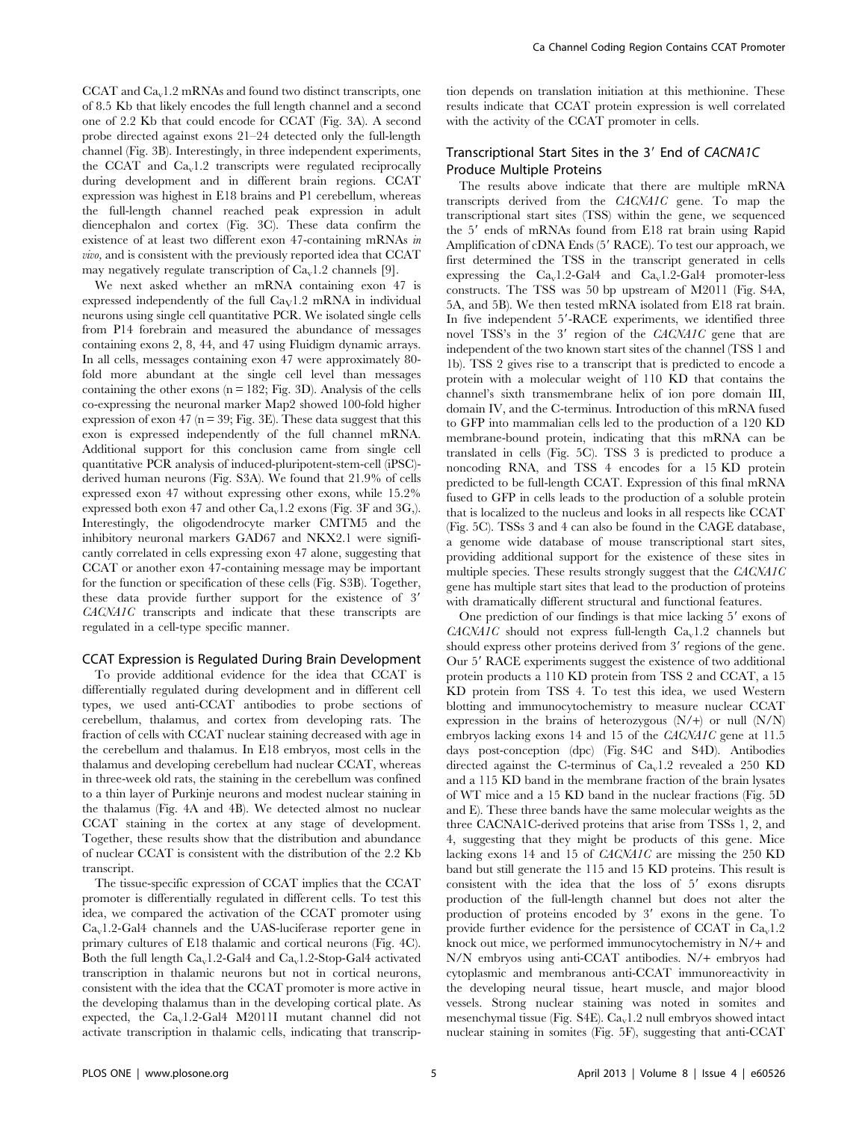CCAT and  $Ca<sub>v</sub>1.2$  mRNAs and found two distinct transcripts, one of 8.5 Kb that likely encodes the full length channel and a second one of 2.2 Kb that could encode for CCAT (Fig. 3A). A second probe directed against exons 21–24 detected only the full-length channel (Fig. 3B). Interestingly, in three independent experiments, the CCAT and  $Ca<sub>v</sub>1.2$  transcripts were regulated reciprocally during development and in different brain regions. CCAT expression was highest in E18 brains and P1 cerebellum, whereas the full-length channel reached peak expression in adult diencephalon and cortex (Fig. 3C). These data confirm the existence of at least two different exon 47-containing mRNAs in vivo, and is consistent with the previously reported idea that CCAT may negatively regulate transcription of  $Ca<sub>v</sub>1.2$  channels [9].

We next asked whether an mRNA containing exon 47 is expressed independently of the full  $\text{Cav1.2}$  mRNA in individual neurons using single cell quantitative PCR. We isolated single cells from P14 forebrain and measured the abundance of messages containing exons 2, 8, 44, and 47 using Fluidigm dynamic arrays. In all cells, messages containing exon 47 were approximately 80 fold more abundant at the single cell level than messages containing the other exons  $(n = 182; Fig. 3D)$ . Analysis of the cells co-expressing the neuronal marker Map2 showed 100-fold higher expression of exon 47 ( $n = 39$ ; Fig. 3E). These data suggest that this exon is expressed independently of the full channel mRNA. Additional support for this conclusion came from single cell quantitative PCR analysis of induced-pluripotent-stem-cell (iPSC) derived human neurons (Fig. S3A). We found that 21.9% of cells expressed exon 47 without expressing other exons, while 15.2% expressed both exon 47 and other  $Ca<sub>v</sub>1.2$  exons (Fig. 3F and 3G,). Interestingly, the oligodendrocyte marker CMTM5 and the inhibitory neuronal markers GAD67 and NKX2.1 were significantly correlated in cells expressing exon 47 alone, suggesting that CCAT or another exon 47-containing message may be important for the function or specification of these cells (Fig. S3B). Together, these data provide further support for the existence of 3 CACNA1C transcripts and indicate that these transcripts are regulated in a cell-type specific manner.

#### CCAT Expression is Regulated During Brain Development

To provide additional evidence for the idea that CCAT is differentially regulated during development and in different cell types, we used anti-CCAT antibodies to probe sections of cerebellum, thalamus, and cortex from developing rats. The fraction of cells with CCAT nuclear staining decreased with age in the cerebellum and thalamus. In E18 embryos, most cells in the thalamus and developing cerebellum had nuclear CCAT, whereas in three-week old rats, the staining in the cerebellum was confined to a thin layer of Purkinje neurons and modest nuclear staining in the thalamus (Fig. 4A and 4B). We detected almost no nuclear CCAT staining in the cortex at any stage of development. Together, these results show that the distribution and abundance of nuclear CCAT is consistent with the distribution of the 2.2 Kb transcript.

The tissue-specific expression of CCAT implies that the CCAT promoter is differentially regulated in different cells. To test this idea, we compared the activation of the CCAT promoter using  $Ca<sub>v</sub>1.2-Gal4$  channels and the UAS-luciferase reporter gene in primary cultures of E18 thalamic and cortical neurons (Fig. 4C). Both the full length  $Ca<sub>v</sub>1.2-Gal4$  and  $Ca<sub>v</sub>1.2-Stop-Gal4$  activated transcription in thalamic neurons but not in cortical neurons, consistent with the idea that the CCAT promoter is more active in the developing thalamus than in the developing cortical plate. As expected, the Cav1.2-Gal4 M2011I mutant channel did not activate transcription in thalamic cells, indicating that transcription depends on translation initiation at this methionine. These results indicate that CCAT protein expression is well correlated with the activity of the CCAT promoter in cells.

## Transcriptional Start Sites in the 3' End of CACNA1C Produce Multiple Proteins

The results above indicate that there are multiple mRNA transcripts derived from the CACNA1C gene. To map the transcriptional start sites (TSS) within the gene, we sequenced the 5' ends of mRNAs found from E18 rat brain using Rapid Amplification of cDNA Ends (5' RACE). To test our approach, we first determined the TSS in the transcript generated in cells expressing the  $Ca_v1.2-Gal4$  and  $Ca_v1.2-Gal4$  promoter-less constructs. The TSS was 50 bp upstream of M2011 (Fig. S4A, 5A, and 5B). We then tested mRNA isolated from E18 rat brain. In five independent 5'-RACE experiments, we identified three novel TSS's in the 3' region of the  $CACMAIC$  gene that are independent of the two known start sites of the channel (TSS 1 and 1b). TSS 2 gives rise to a transcript that is predicted to encode a protein with a molecular weight of 110 KD that contains the channel's sixth transmembrane helix of ion pore domain III, domain IV, and the C-terminus. Introduction of this mRNA fused to GFP into mammalian cells led to the production of a 120 KD membrane-bound protein, indicating that this mRNA can be translated in cells (Fig. 5C). TSS 3 is predicted to produce a noncoding RNA, and TSS 4 encodes for a 15 KD protein predicted to be full-length CCAT. Expression of this final mRNA fused to GFP in cells leads to the production of a soluble protein that is localized to the nucleus and looks in all respects like CCAT (Fig. 5C). TSSs 3 and 4 can also be found in the CAGE database, a genome wide database of mouse transcriptional start sites, providing additional support for the existence of these sites in multiple species. These results strongly suggest that the CACNA1C gene has multiple start sites that lead to the production of proteins with dramatically different structural and functional features.

One prediction of our findings is that mice lacking  $5'$  exons of  $CACMAIC$  should not express full-length  $Ca<sub>v</sub>1.2$  channels but should express other proteins derived from 3' regions of the gene. Our 5' RACE experiments suggest the existence of two additional protein products a 110 KD protein from TSS 2 and CCAT, a 15 KD protein from TSS 4. To test this idea, we used Western blotting and immunocytochemistry to measure nuclear CCAT expression in the brains of heterozygous  $(N/+)$  or null  $(N/N)$ embryos lacking exons 14 and 15 of the CACNA1C gene at 11.5 days post-conception (dpc) (Fig. S4C and S4D). Antibodies directed against the C-terminus of  $Ca<sub>v</sub>1.2$  revealed a 250 KD and a 115 KD band in the membrane fraction of the brain lysates of WT mice and a 15 KD band in the nuclear fractions (Fig. 5D and E). These three bands have the same molecular weights as the three CACNA1C-derived proteins that arise from TSSs 1, 2, and 4, suggesting that they might be products of this gene. Mice lacking exons 14 and 15 of CACNA1C are missing the 250 KD band but still generate the 115 and 15 KD proteins. This result is consistent with the idea that the loss of  $5'$  exons disrupts production of the full-length channel but does not alter the production of proteins encoded by  $3'$  exons in the gene. To provide further evidence for the persistence of CCAT in  $Ca<sub>v</sub>1.2$ knock out mice, we performed immunocytochemistry in N/+ and N/N embryos using anti-CCAT antibodies. N/+ embryos had cytoplasmic and membranous anti-CCAT immunoreactivity in the developing neural tissue, heart muscle, and major blood vessels. Strong nuclear staining was noted in somites and mesenchymal tissue (Fig. S4E).  $Ca_v1.2$  null embryos showed intact nuclear staining in somites (Fig. 5F), suggesting that anti-CCAT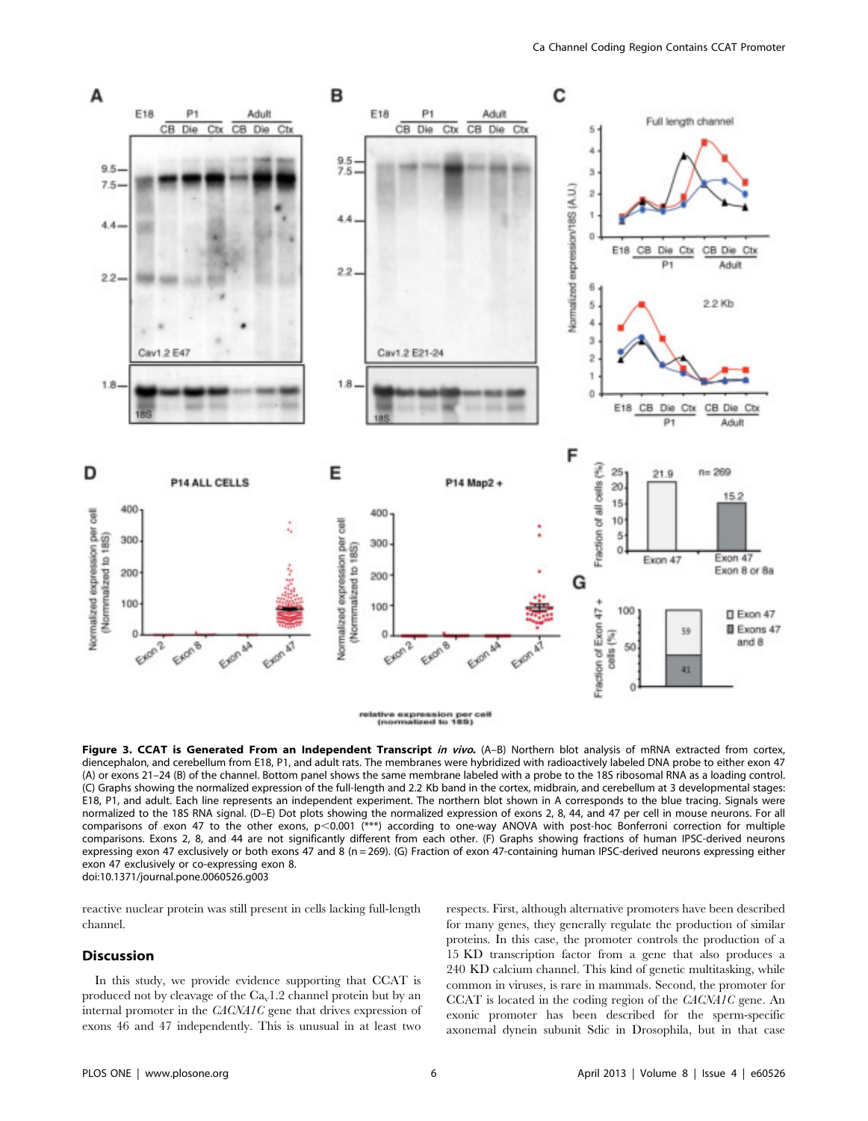

Figure 3. CCAT is Generated From an Independent Transcript in vivo. (A-B) Northern blot analysis of mRNA extracted from cortex, diencephalon, and cerebellum from E18, P1, and adult rats. The membranes were hybridized with radioactively labeled DNA probe to either exon 47 (A) or exons 21–24 (B) of the channel. Bottom panel shows the same membrane labeled with a probe to the 18S ribosomal RNA as a loading control. (C) Graphs showing the normalized expression of the full-length and 2.2 Kb band in the cortex, midbrain, and cerebellum at 3 developmental stages: E18, P1, and adult. Each line represents an independent experiment. The northern blot shown in A corresponds to the blue tracing. Signals were normalized to the 18S RNA signal. (D–E) Dot plots showing the normalized expression of exons 2, 8, 44, and 47 per cell in mouse neurons. For all comparisons of exon 47 to the other exons,  $p$ <0.001 (\*\*\*) according to one-way ANOVA with post-hoc Bonferroni correction for multiple comparisons. Exons 2, 8, and 44 are not significantly different from each other. (F) Graphs showing fractions of human IPSC-derived neurons expressing exon 47 exclusively or both exons 47 and 8 (n = 269). (G) Fraction of exon 47-containing human IPSC-derived neurons expressing either exon 47 exclusively or co-expressing exon 8. doi:10.1371/journal.pone.0060526.g003

reactive nuclear protein was still present in cells lacking full-length channel.

### **Discussion**

In this study, we provide evidence supporting that CCAT is produced not by cleavage of the  $Ca<sub>v</sub>1.2$  channel protein but by an internal promoter in the CACNA1C gene that drives expression of exons 46 and 47 independently. This is unusual in at least two respects. First, although alternative promoters have been described for many genes, they generally regulate the production of similar proteins. In this case, the promoter controls the production of a 15 KD transcription factor from a gene that also produces a 240 KD calcium channel. This kind of genetic multitasking, while common in viruses, is rare in mammals. Second, the promoter for CCAT is located in the coding region of the CACNA1C gene. An exonic promoter has been described for the sperm-specific axonemal dynein subunit Sdic in Drosophila, but in that case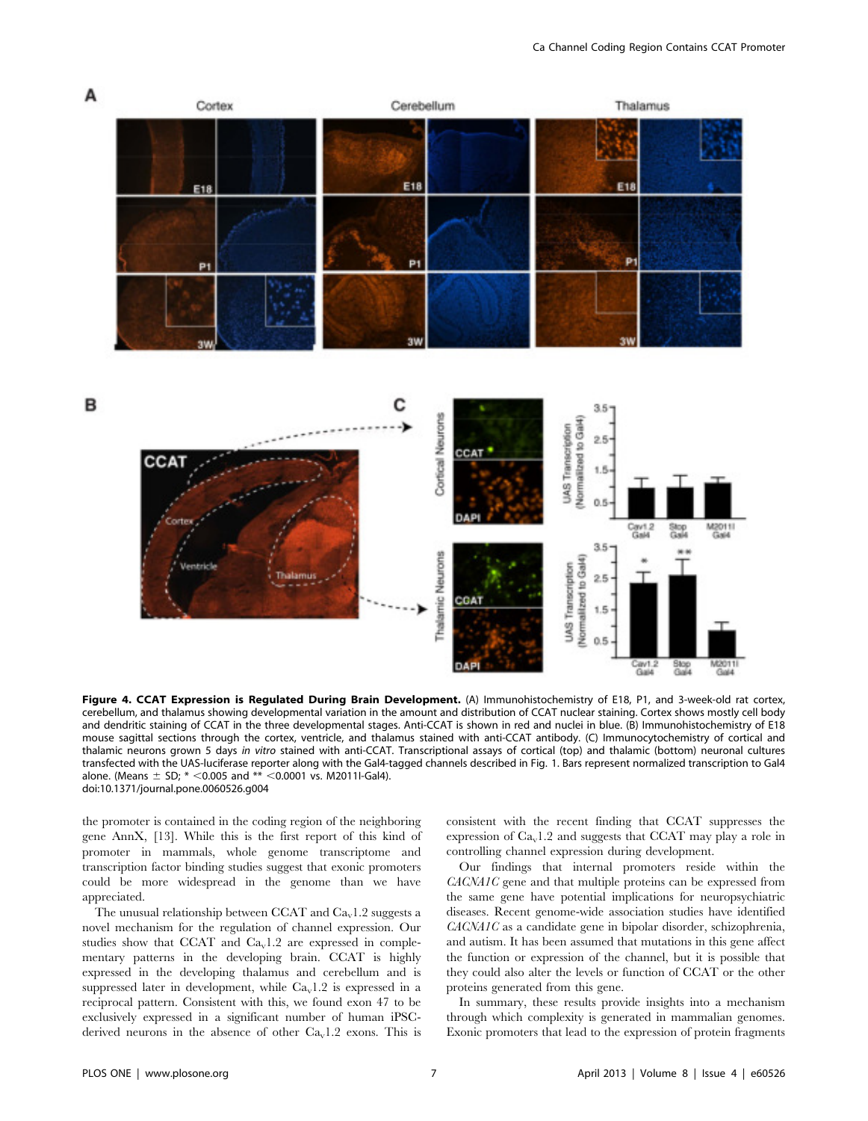

Figure 4. CCAT Expression is Regulated During Brain Development. (A) Immunohistochemistry of E18, P1, and 3-week-old rat cortex, cerebellum, and thalamus showing developmental variation in the amount and distribution of CCAT nuclear staining. Cortex shows mostly cell body and dendritic staining of CCAT in the three developmental stages. Anti-CCAT is shown in red and nuclei in blue. (B) Immunohistochemistry of E18 mouse sagittal sections through the cortex, ventricle, and thalamus stained with anti-CCAT antibody. (C) Immunocytochemistry of cortical and thalamic neurons grown 5 days in vitro stained with anti-CCAT. Transcriptional assays of cortical (top) and thalamic (bottom) neuronal cultures transfected with the UAS-luciferase reporter along with the Gal4-tagged channels described in Fig. 1. Bars represent normalized transcription to Gal4 alone. (Means  $\pm$  SD;  $*$  <0.005 and  $**$  <0.0001 vs. M2011I-Gal4). doi:10.1371/journal.pone.0060526.g004

the promoter is contained in the coding region of the neighboring gene AnnX, [13]. While this is the first report of this kind of promoter in mammals, whole genome transcriptome and transcription factor binding studies suggest that exonic promoters could be more widespread in the genome than we have appreciated.

The unusual relationship between CCAT and  $Ca<sub>v</sub>1.2$  suggests a novel mechanism for the regulation of channel expression. Our studies show that CCAT and  $Ca<sub>v</sub>1.2$  are expressed in complementary patterns in the developing brain. CCAT is highly expressed in the developing thalamus and cerebellum and is suppressed later in development, while  $Ca<sub>v</sub>1.2$  is expressed in a reciprocal pattern. Consistent with this, we found exon 47 to be exclusively expressed in a significant number of human iPSCderived neurons in the absence of other  $Ca<sub>v</sub>1.2$  exons. This is consistent with the recent finding that CCAT suppresses the expression of  $Ca<sub>v</sub>1.2$  and suggests that CCAT may play a role in controlling channel expression during development.

Our findings that internal promoters reside within the CACNA1C gene and that multiple proteins can be expressed from the same gene have potential implications for neuropsychiatric diseases. Recent genome-wide association studies have identified CACNA1C as a candidate gene in bipolar disorder, schizophrenia, and autism. It has been assumed that mutations in this gene affect the function or expression of the channel, but it is possible that they could also alter the levels or function of CCAT or the other proteins generated from this gene.

In summary, these results provide insights into a mechanism through which complexity is generated in mammalian genomes. Exonic promoters that lead to the expression of protein fragments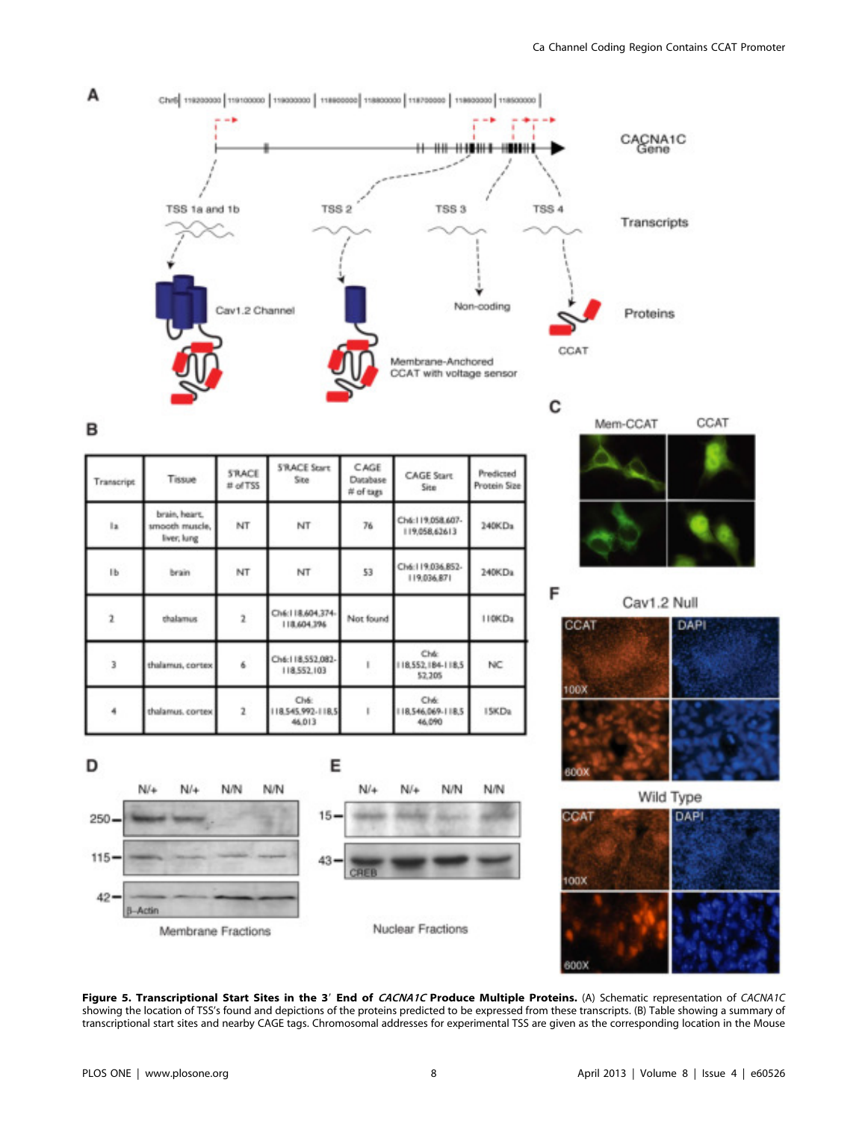

Figure 5. Transcriptional Start Sites in the 3' End of CACNA1C Produce Multiple Proteins. (A) Schematic representation of CACNA1C showing the location of TSS's found and depictions of the proteins predicted to be expressed from these transcripts. (B) Table showing a summary of transcriptional start sites and nearby CAGE tags. Chromosomal addresses for experimental TSS are given as the corresponding location in the Mouse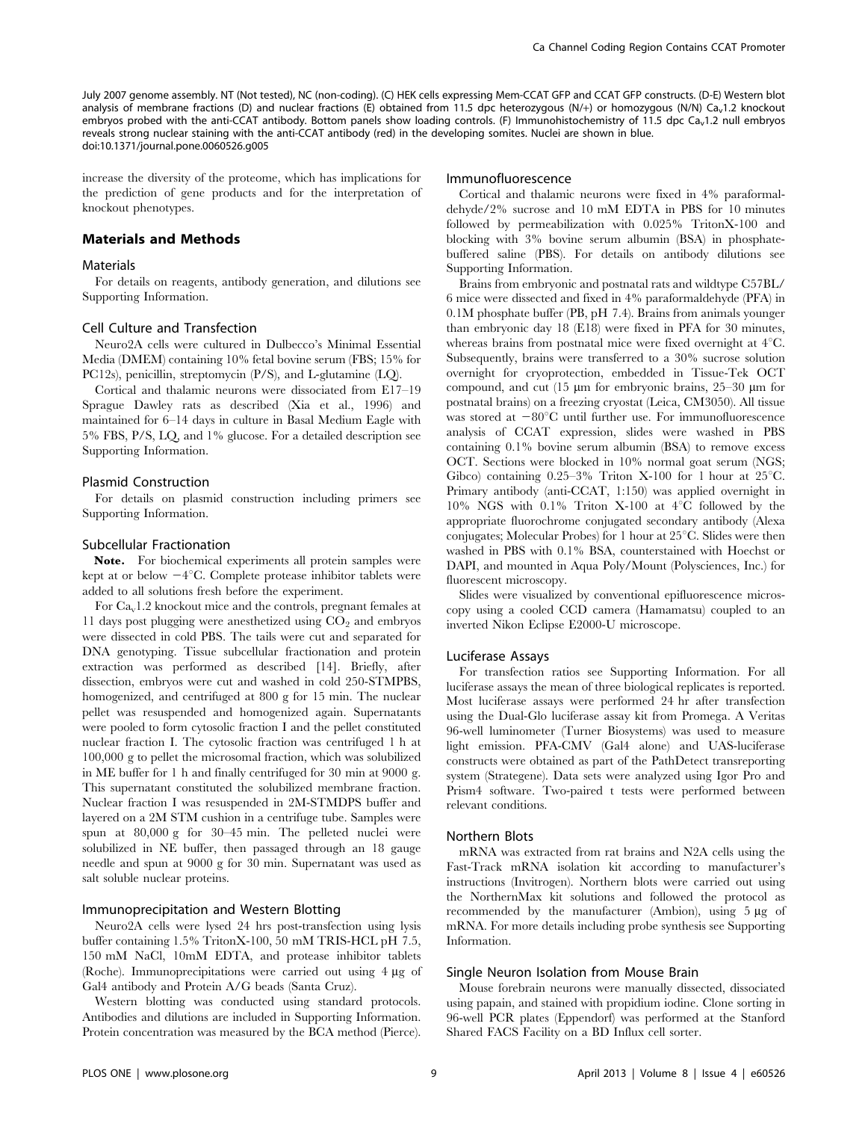July 2007 genome assembly. NT (Not tested), NC (non-coding). (C) HEK cells expressing Mem-CCAT GFP and CCAT GFP constructs. (D-E) Western blot analysis of membrane fractions (D) and nuclear fractions (E) obtained from 11.5 dpc heterozygous (N/+) or homozygous (N/N) Ca<sub>v</sub>1.2 knockout embryos probed with the anti-CCAT antibody. Bottom panels show loading controls. (F) Immunohistochemistry of 11.5 dpc Ca<sub>v</sub>1.2 null embryos reveals strong nuclear staining with the anti-CCAT antibody (red) in the developing somites. Nuclei are shown in blue. doi:10.1371/journal.pone.0060526.g005

increase the diversity of the proteome, which has implications for the prediction of gene products and for the interpretation of knockout phenotypes.

## Materials and Methods

#### **Materials**

For details on reagents, antibody generation, and dilutions see Supporting Information.

#### Cell Culture and Transfection

Neuro2A cells were cultured in Dulbecco's Minimal Essential Media (DMEM) containing 10% fetal bovine serum (FBS; 15% for PC12s), penicillin, streptomycin (P/S), and L-glutamine (LQ).

Cortical and thalamic neurons were dissociated from E17–19 Sprague Dawley rats as described (Xia et al., 1996) and maintained for 6–14 days in culture in Basal Medium Eagle with 5% FBS, P/S, LQ, and 1% glucose. For a detailed description see Supporting Information.

#### Plasmid Construction

For details on plasmid construction including primers see Supporting Information.

#### Subcellular Fractionation

Note. For biochemical experiments all protein samples were kept at or below  $-4^{\circ}$ C. Complete protease inhibitor tablets were added to all solutions fresh before the experiment.

For  $Ca<sub>v</sub>1.2$  knockout mice and the controls, pregnant females at 11 days post plugging were anesthetized using  $CO<sub>2</sub>$  and embryos were dissected in cold PBS. The tails were cut and separated for DNA genotyping. Tissue subcellular fractionation and protein extraction was performed as described [14]. Briefly, after dissection, embryos were cut and washed in cold 250-STMPBS, homogenized, and centrifuged at 800 g for 15 min. The nuclear pellet was resuspended and homogenized again. Supernatants were pooled to form cytosolic fraction I and the pellet constituted nuclear fraction I. The cytosolic fraction was centrifuged 1 h at 100,000 g to pellet the microsomal fraction, which was solubilized in ME buffer for 1 h and finally centrifuged for 30 min at 9000 g. This supernatant constituted the solubilized membrane fraction. Nuclear fraction I was resuspended in 2M-STMDPS buffer and layered on a 2M STM cushion in a centrifuge tube. Samples were spun at 80,000 g for 30–45 min. The pelleted nuclei were solubilized in NE buffer, then passaged through an 18 gauge needle and spun at 9000 g for 30 min. Supernatant was used as salt soluble nuclear proteins.

## Immunoprecipitation and Western Blotting

Neuro2A cells were lysed 24 hrs post-transfection using lysis buffer containing 1.5% TritonX-100, 50 mM TRIS-HCL pH 7.5, 150 mM NaCl, 10mM EDTA, and protease inhibitor tablets (Roche). Immunoprecipitations were carried out using 4 µg of Gal4 antibody and Protein A/G beads (Santa Cruz).

Western blotting was conducted using standard protocols. Antibodies and dilutions are included in Supporting Information. Protein concentration was measured by the BCA method (Pierce).

#### Immunofluorescence

Cortical and thalamic neurons were fixed in 4% paraformaldehyde/2% sucrose and 10 mM EDTA in PBS for 10 minutes followed by permeabilization with 0.025% TritonX-100 and blocking with 3% bovine serum albumin (BSA) in phosphatebuffered saline (PBS). For details on antibody dilutions see Supporting Information.

Brains from embryonic and postnatal rats and wildtype C57BL/ 6 mice were dissected and fixed in 4% paraformaldehyde (PFA) in 0.1M phosphate buffer (PB, pH 7.4). Brains from animals younger than embryonic day 18 (E18) were fixed in PFA for 30 minutes, whereas brains from postnatal mice were fixed overnight at  $4^{\circ}$ C. Subsequently, brains were transferred to a 30% sucrose solution overnight for cryoprotection, embedded in Tissue-Tek OCT compound, and cut (15  $\mu$ m for embryonic brains, 25–30  $\mu$ m for postnatal brains) on a freezing cryostat (Leica, CM3050). All tissue was stored at  $-80^{\circ}$ C until further use. For immunofluorescence analysis of CCAT expression, slides were washed in PBS containing 0.1% bovine serum albumin (BSA) to remove excess OCT. Sections were blocked in 10% normal goat serum (NGS; Gibco) containing  $0.25-3\%$  Triton X-100 for 1 hour at  $25^{\circ}$ C. Primary antibody (anti-CCAT, 1:150) was applied overnight in 10% NGS with 0.1% Triton X-100 at  $4^{\circ}$ C followed by the appropriate fluorochrome conjugated secondary antibody (Alexa conjugates; Molecular Probes) for 1 hour at  $25^{\circ}$ C. Slides were then washed in PBS with 0.1% BSA, counterstained with Hoechst or DAPI, and mounted in Aqua Poly/Mount (Polysciences, Inc.) for fluorescent microscopy.

Slides were visualized by conventional epifluorescence microscopy using a cooled CCD camera (Hamamatsu) coupled to an inverted Nikon Eclipse E2000-U microscope.

#### Luciferase Assays

For transfection ratios see Supporting Information. For all luciferase assays the mean of three biological replicates is reported. Most luciferase assays were performed 24 hr after transfection using the Dual-Glo luciferase assay kit from Promega. A Veritas 96-well luminometer (Turner Biosystems) was used to measure light emission. PFA-CMV (Gal4 alone) and UAS-luciferase constructs were obtained as part of the PathDetect transreporting system (Strategene). Data sets were analyzed using Igor Pro and Prism4 software. Two-paired t tests were performed between relevant conditions.

#### Northern Blots

mRNA was extracted from rat brains and N2A cells using the Fast-Track mRNA isolation kit according to manufacturer's instructions (Invitrogen). Northern blots were carried out using the NorthernMax kit solutions and followed the protocol as recommended by the manufacturer (Ambion), using  $5 \mu$ g of mRNA. For more details including probe synthesis see Supporting Information.

## Single Neuron Isolation from Mouse Brain

Mouse forebrain neurons were manually dissected, dissociated using papain, and stained with propidium iodine. Clone sorting in 96-well PCR plates (Eppendorf) was performed at the Stanford Shared FACS Facility on a BD Influx cell sorter.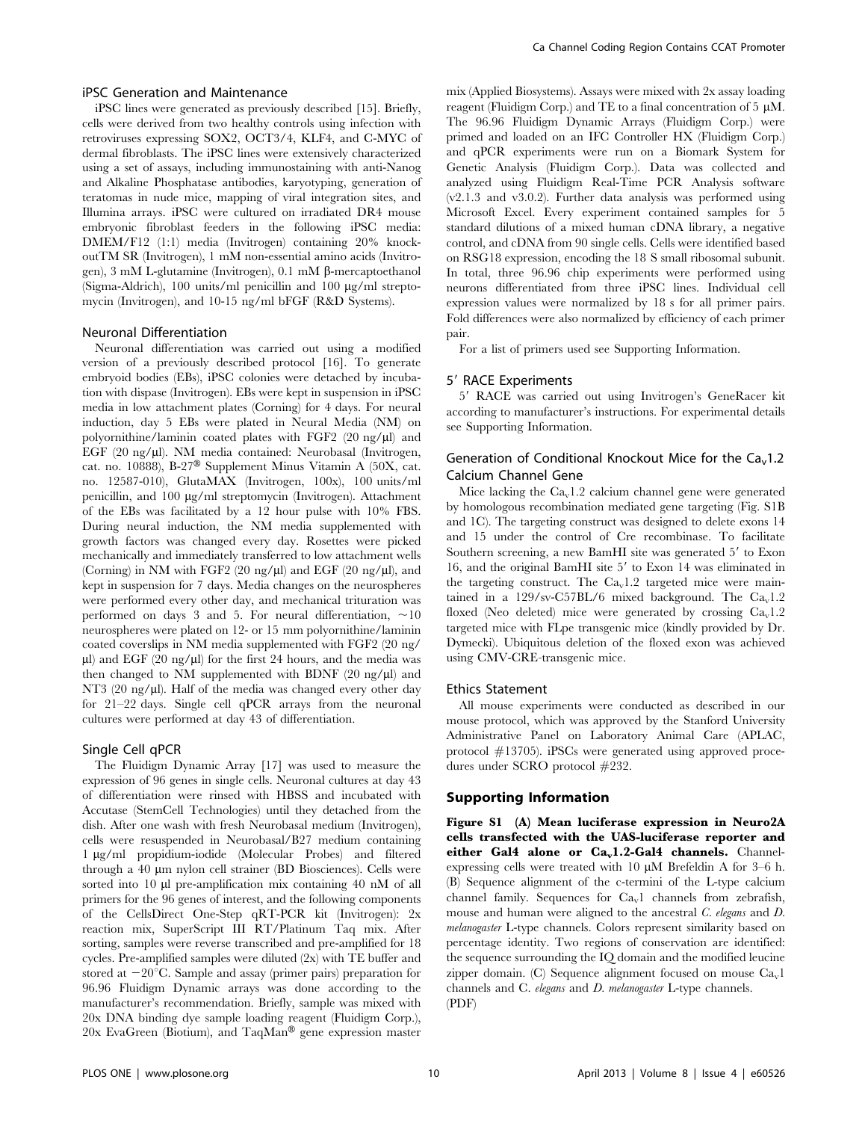## iPSC Generation and Maintenance

iPSC lines were generated as previously described [15]. Briefly, cells were derived from two healthy controls using infection with retroviruses expressing SOX2, OCT3/4, KLF4, and C-MYC of dermal fibroblasts. The iPSC lines were extensively characterized using a set of assays, including immunostaining with anti-Nanog and Alkaline Phosphatase antibodies, karyotyping, generation of teratomas in nude mice, mapping of viral integration sites, and Illumina arrays. iPSC were cultured on irradiated DR4 mouse embryonic fibroblast feeders in the following iPSC media: DMEM/F12 (1:1) media (Invitrogen) containing 20% knockoutTM SR (Invitrogen), 1 mM non-essential amino acids (Invitrogen), 3 mM L-glutamine (Invitrogen), 0.1 mM  $\beta$ -mercaptoethanol (Sigma-Aldrich), 100 units/ml penicillin and 100  $\mu$ g/ml streptomycin (Invitrogen), and 10-15 ng/ml bFGF (R&D Systems).

## Neuronal Differentiation

Neuronal differentiation was carried out using a modified version of a previously described protocol [16]. To generate embryoid bodies (EBs), iPSC colonies were detached by incubation with dispase (Invitrogen). EBs were kept in suspension in iPSC media in low attachment plates (Corning) for 4 days. For neural induction, day 5 EBs were plated in Neural Media (NM) on polyornithine/laminin coated plates with FGF2  $(20 \text{ ng}/\text{ul})$  and EGF  $(20 \text{ ng}/\text{ul})$ . NM media contained: Neurobasal (Invitrogen, cat. no. 10888), B-27<sup>®</sup> Supplement Minus Vitamin A (50X, cat. no. 12587-010), GlutaMAX (Invitrogen, 100x), 100 units/ml penicillin, and 100 mg/ml streptomycin (Invitrogen). Attachment of the EBs was facilitated by a 12 hour pulse with 10% FBS. During neural induction, the NM media supplemented with growth factors was changed every day. Rosettes were picked mechanically and immediately transferred to low attachment wells (Corning) in NM with FGF2 (20 ng/ $\mu$ l) and EGF (20 ng/ $\mu$ l), and kept in suspension for 7 days. Media changes on the neurospheres were performed every other day, and mechanical trituration was performed on days 3 and 5. For neural differentiation,  $\sim10$ neurospheres were plated on 12- or 15 mm polyornithine/laminin coated coverslips in NM media supplemented with FGF2 (20 ng/  $\mu$ l) and EGF (20 ng/ $\mu$ l) for the first 24 hours, and the media was then changed to NM supplemented with BDNF  $(20 \text{ ng}/\text{µ})$  and  $NT3$  (20 ng/ $\mu$ l). Half of the media was changed every other day for 21–22 days. Single cell qPCR arrays from the neuronal cultures were performed at day 43 of differentiation.

#### Single Cell qPCR

The Fluidigm Dynamic Array [17] was used to measure the expression of 96 genes in single cells. Neuronal cultures at day 43 of differentiation were rinsed with HBSS and incubated with Accutase (StemCell Technologies) until they detached from the dish. After one wash with fresh Neurobasal medium (Invitrogen), cells were resuspended in Neurobasal/B27 medium containing 1 mg/ml propidium-iodide (Molecular Probes) and filtered through a 40 µm nylon cell strainer (BD Biosciences). Cells were sorted into 10 µl pre-amplification mix containing 40 nM of all primers for the 96 genes of interest, and the following components of the CellsDirect One-Step qRT-PCR kit (Invitrogen): 2x reaction mix, SuperScript III RT/Platinum Taq mix. After sorting, samples were reverse transcribed and pre-amplified for 18 cycles. Pre-amplified samples were diluted (2x) with TE buffer and stored at  $-20^{\circ}$ C. Sample and assay (primer pairs) preparation for 96.96 Fluidigm Dynamic arrays was done according to the manufacturer's recommendation. Briefly, sample was mixed with 20x DNA binding dye sample loading reagent (Fluidigm Corp.),  $20x$  EvaGreen (Biotium), and TaqMan<sup>®</sup> gene expression master mix (Applied Biosystems). Assays were mixed with 2x assay loading reagent (Fluidigm Corp.) and TE to a final concentration of  $5 \mu M$ . The 96.96 Fluidigm Dynamic Arrays (Fluidigm Corp.) were primed and loaded on an IFC Controller HX (Fluidigm Corp.) and qPCR experiments were run on a Biomark System for Genetic Analysis (Fluidigm Corp.). Data was collected and analyzed using Fluidigm Real-Time PCR Analysis software (v2.1.3 and v3.0.2). Further data analysis was performed using Microsoft Excel. Every experiment contained samples for 5 standard dilutions of a mixed human cDNA library, a negative control, and cDNA from 90 single cells. Cells were identified based on RSG18 expression, encoding the 18 S small ribosomal subunit. In total, three 96.96 chip experiments were performed using neurons differentiated from three iPSC lines. Individual cell expression values were normalized by 18 s for all primer pairs. Fold differences were also normalized by efficiency of each primer pair.

For a list of primers used see Supporting Information.

#### 5<sup>'</sup> RACE Experiments

5' RACE was carried out using Invitrogen's GeneRacer kit according to manufacturer's instructions. For experimental details see Supporting Information.

## Generation of Conditional Knockout Mice for the  $Ca<sub>v</sub>1.2$ Calcium Channel Gene

Mice lacking the  $Ca<sub>v</sub>1.2$  calcium channel gene were generated by homologous recombination mediated gene targeting (Fig. S1B and 1C). The targeting construct was designed to delete exons 14 and 15 under the control of Cre recombinase. To facilitate Southern screening, a new BamHI site was generated 5' to Exon 16, and the original BamHI site 5' to Exon 14 was eliminated in the targeting construct. The  $Ca<sub>v</sub>1.2$  targeted mice were maintained in a  $129$ /sv-C57BL/6 mixed background. The Ca<sub>v</sub>1.2 floxed (Neo deleted) mice were generated by crossing  $Ca<sub>v</sub>1.2$ targeted mice with FLpe transgenic mice (kindly provided by Dr. Dymecki). Ubiquitous deletion of the floxed exon was achieved using CMV-CRE-transgenic mice.

#### Ethics Statement

All mouse experiments were conducted as described in our mouse protocol, which was approved by the Stanford University Administrative Panel on Laboratory Animal Care (APLAC, protocol #13705). iPSCs were generated using approved procedures under SCRO protocol #232.

#### Supporting Information

Figure S1 (A) Mean luciferase expression in Neuro2A cells transfected with the UAS-luciferase reporter and either Gal4 alone or  $Ca<sub>v</sub>1.2-Ga14$  channels. Channelexpressing cells were treated with 10  $\mu$ M Brefeldin A for 3–6 h. (B) Sequence alignment of the c-termini of the L-type calcium channel family. Sequences for  $Ca<sub>v</sub>1$  channels from zebrafish, mouse and human were aligned to the ancestral C. elegans and D. melanogaster L-type channels. Colors represent similarity based on percentage identity. Two regions of conservation are identified: the sequence surrounding the IQ domain and the modified leucine zipper domain. (C) Sequence alignment focused on mouse  $Ca<sub>v</sub>1$ channels and C. elegans and D. melanogaster L-type channels. (PDF)